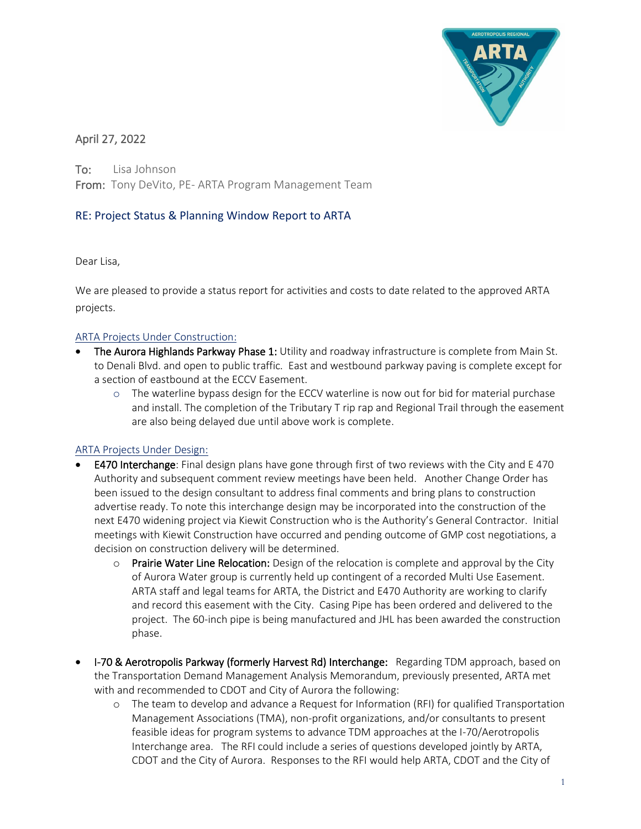

# April 27, 2022

To: Lisa Johnson From: Tony DeVito, PE- ARTA Program Management Team

## RE: Project Status & Planning Window Report to ARTA

Dear Lisa,

We are pleased to provide a status report for activities and costs to date related to the approved ARTA projects.

## ARTA Projects Under Construction:

- The Aurora Highlands Parkway Phase 1: Utility and roadway infrastructure is complete from Main St. to Denali Blvd. and open to public traffic. East and westbound parkway paving is complete except for a section of eastbound at the ECCV Easement.
	- $\circ$  The waterline bypass design for the ECCV waterline is now out for bid for material purchase and install. The completion of the Tributary T rip rap and Regional Trail through the easement are also being delayed due until above work is complete.

## ARTA Projects Under Design:

- **E470 Interchange**: Final design plans have gone through first of two reviews with the City and E 470 Authority and subsequent comment review meetings have been held. Another Change Order has been issued to the design consultant to address final comments and bring plans to construction advertise ready. To note this interchange design may be incorporated into the construction of the next E470 widening project via Kiewit Construction who is the Authority's General Contractor. Initial meetings with Kiewit Construction have occurred and pending outcome of GMP cost negotiations, a decision on construction delivery will be determined.
	- $\circ$  Prairie Water Line Relocation: Design of the relocation is complete and approval by the City of Aurora Water group is currently held up contingent of a recorded Multi Use Easement. ARTA staff and legal teams for ARTA, the District and E470 Authority are working to clarify and record this easement with the City. Casing Pipe has been ordered and delivered to the project. The 60-inch pipe is being manufactured and JHL has been awarded the construction phase.
- I-70 & Aerotropolis Parkway (formerly Harvest Rd) Interchange: Regarding TDM approach, based on the Transportation Demand Management Analysis Memorandum, previously presented, ARTA met with and recommended to CDOT and City of Aurora the following:
	- o The team to develop and advance a Request for Information (RFI) for qualified Transportation Management Associations (TMA), non-profit organizations, and/or consultants to present feasible ideas for program systems to advance TDM approaches at the I-70/Aerotropolis Interchange area. The RFI could include a series of questions developed jointly by ARTA, CDOT and the City of Aurora. Responses to the RFI would help ARTA, CDOT and the City of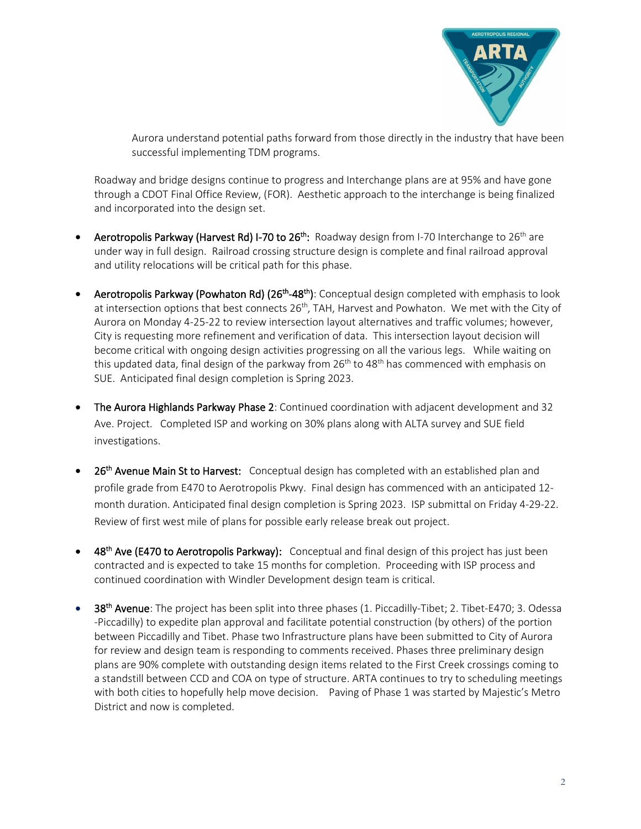

Aurora understand potential paths forward from those directly in the industry that have been successful implementing TDM programs.

Roadway and bridge designs continue to progress and Interchange plans are at 95% and have gone through a CDOT Final Office Review, (FOR). Aesthetic approach to the interchange is being finalized and incorporated into the design set.

- Aerotropolis Parkway (Harvest Rd) I-70 to 26<sup>th</sup>: Roadway design from I-70 Interchange to 26<sup>th</sup> are under way in full design. Railroad crossing structure design is complete and final railroad approval and utility relocations will be critical path for this phase.
- Aerotropolis Parkway (Powhaton Rd) (26<sup>th</sup>-48<sup>th</sup>): Conceptual design completed with emphasis to look at intersection options that best connects 26<sup>th</sup>, TAH, Harvest and Powhaton. We met with the City of Aurora on Monday 4-25-22 to review intersection layout alternatives and traffic volumes; however, City is requesting more refinement and verification of data. This intersection layout decision will become critical with ongoing design activities progressing on all the various legs. While waiting on this updated data, final design of the parkway from  $26<sup>th</sup>$  to  $48<sup>th</sup>$  has commenced with emphasis on SUE. Anticipated final design completion is Spring 2023.
- The Aurora Highlands Parkway Phase 2: Continued coordination with adjacent development and 32 Ave. Project. Completed ISP and working on 30% plans along with ALTA survey and SUE field investigations.
- 26<sup>th</sup> Avenue Main St to Harvest: Conceptual design has completed with an established plan and profile grade from E470 to Aerotropolis Pkwy. Final design has commenced with an anticipated 12 month duration. Anticipated final design completion is Spring 2023. ISP submittal on Friday 4-29-22. Review of first west mile of plans for possible early release break out project.
- 48<sup>th</sup> Ave (E470 to Aerotropolis Parkway): Conceptual and final design of this project has just been contracted and is expected to take 15 months for completion. Proceeding with ISP process and continued coordination with Windler Development design team is critical.
- 38<sup>th</sup> Avenue: The project has been split into three phases (1. Piccadilly-Tibet; 2. Tibet-E470; 3. Odessa -Piccadilly) to expedite plan approval and facilitate potential construction (by others) of the portion between Piccadilly and Tibet. Phase two Infrastructure plans have been submitted to City of Aurora for review and design team is responding to comments received. Phases three preliminary design plans are 90% complete with outstanding design items related to the First Creek crossings coming to a standstill between CCD and COA on type of structure. ARTA continues to try to scheduling meetings with both cities to hopefully help move decision. Paving of Phase 1 was started by Majestic's Metro District and now is completed.